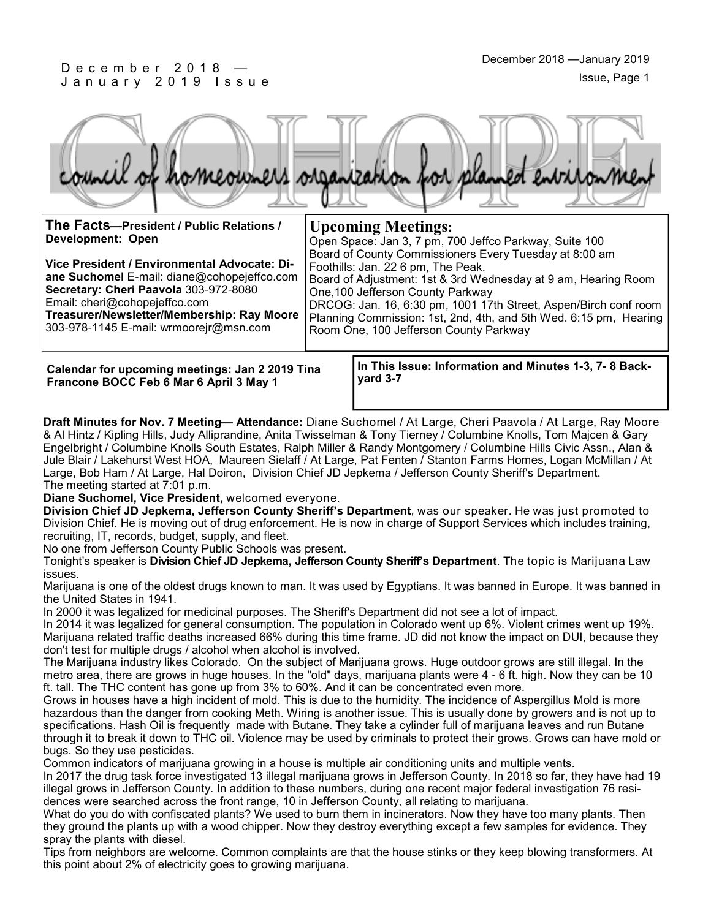#### D e c e m b e r 2 0 1 8 — January 2019 Issue



**Upcoming Meetings:**

Foothills: Jan. 22 6 pm, The Peak.

One,100 Jefferson County Parkway

Room One, 100 Jefferson County Parkway

**The Facts—President / Public Relations / Development: Open**

**Vice President / Environmental Advocate: Diane Suchomel** E-mail: diane@cohopejeffco.com **Secretary: Cheri Paavola** 303-972-8080 Email: cheri@cohopejeffco.com **Treasurer/Newsletter/Membership: Ray Moore** 

303-978-1145 E-mail: wrmoorejr@msn.com

**Calendar for upcoming meetings: Jan 2 2019 Tina Francone BOCC Feb 6 Mar 6 April 3 May 1**

**In This Issue: Information and Minutes 1-3, 7- 8 Backyard 3-7** 

Open Space: Jan 3, 7 pm, 700 Jeffco Parkway, Suite 100 Board of County Commissioners Every Tuesday at 8:00 am

Board of Adjustment: 1st & 3rd Wednesday at 9 am, Hearing Room

DRCOG: Jan. 16, 6:30 pm, 1001 17th Street, Aspen/Birch conf room Planning Commission: 1st, 2nd, 4th, and 5th Wed. 6:15 pm, Hearing

**Draft Minutes for Nov. 7 Meeting— Attendance:** Diane Suchomel / At Large, Cheri Paavola / At Large, Ray Moore & Al Hintz / Kipling Hills, Judy Alliprandine, Anita Twisselman & Tony Tierney / Columbine Knolls, Tom Majcen & Gary Engelbright / Columbine Knolls South Estates, Ralph Miller & Randy Montgomery / Columbine Hills Civic Assn., Alan & Jule Blair / Lakehurst West HOA, Maureen Sielaff / At Large, Pat Fenten / Stanton Farms Homes, Logan McMillan / At Large, Bob Ham / At Large, Hal Doiron, Division Chief JD Jepkema / Jefferson County Sheriff's Department. The meeting started at 7:01 p.m.

**Diane Suchomel, Vice President,** welcomed everyone.

**Division Chief JD Jepkema, Jefferson County Sheriff's Department**, was our speaker. He was just promoted to Division Chief. He is moving out of drug enforcement. He is now in charge of Support Services which includes training, recruiting, IT, records, budget, supply, and fleet.

No one from Jefferson County Public Schools was present.

Tonight's speaker is **Division Chief JD Jepkema, Jefferson County Sheriff's Department**. The topic is Marijuana Law issues.

Marijuana is one of the oldest drugs known to man. It was used by Egyptians. It was banned in Europe. It was banned in the United States in 1941.

In 2000 it was legalized for medicinal purposes. The Sheriff's Department did not see a lot of impact.

In 2014 it was legalized for general consumption. The population in Colorado went up 6%. Violent crimes went up 19%. Marijuana related traffic deaths increased 66% during this time frame. JD did not know the impact on DUI, because they don't test for multiple drugs / alcohol when alcohol is involved.

The Marijuana industry likes Colorado. On the subject of Marijuana grows. Huge outdoor grows are still illegal. In the metro area, there are grows in huge houses. In the "old" days, marijuana plants were 4 - 6 ft. high. Now they can be 10 ft. tall. The THC content has gone up from 3% to 60%. And it can be concentrated even more.

Grows in houses have a high incident of mold. This is due to the humidity. The incidence of Aspergillus Mold is more hazardous than the danger from cooking Meth. Wiring is another issue. This is usually done by growers and is not up to specifications. Hash Oil is frequently made with Butane. They take a cylinder full of marijuana leaves and run Butane through it to break it down to THC oil. Violence may be used by criminals to protect their grows. Grows can have mold or bugs. So they use pesticides.

Common indicators of marijuana growing in a house is multiple air conditioning units and multiple vents.

In 2017 the drug task force investigated 13 illegal marijuana grows in Jefferson County. In 2018 so far, they have had 19 illegal grows in Jefferson County. In addition to these numbers, during one recent major federal investigation 76 residences were searched across the front range, 10 in Jefferson County, all relating to marijuana.

What do you do with confiscated plants? We used to burn them in incinerators. Now they have too many plants. Then they ground the plants up with a wood chipper. Now they destroy everything except a few samples for evidence. They spray the plants with diesel.

Tips from neighbors are welcome. Common complaints are that the house stinks or they keep blowing transformers. At this point about 2% of electricity goes to growing marijuana.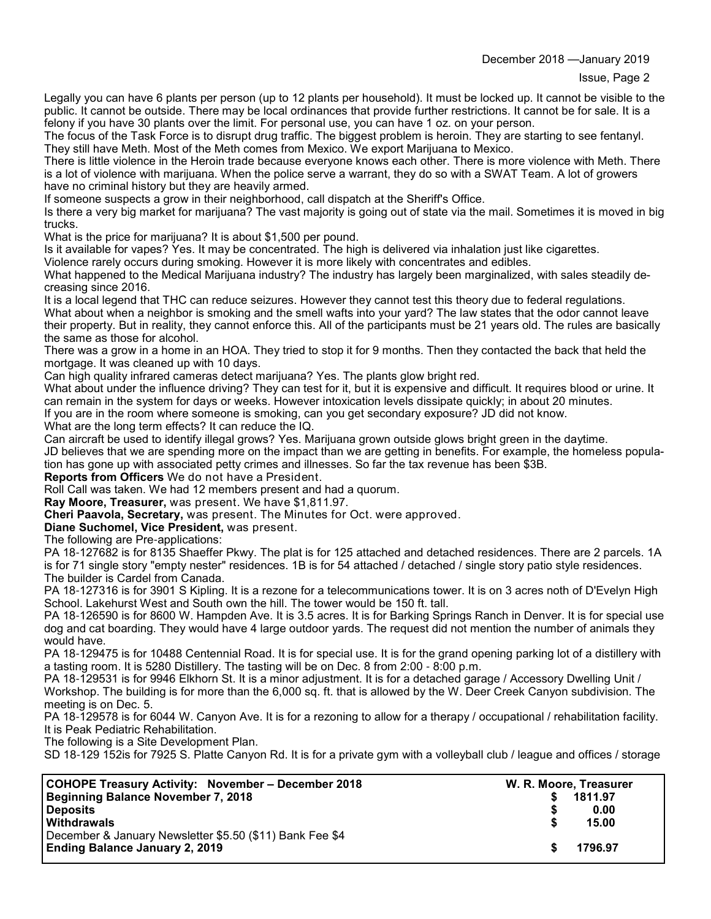December 2018 —January 2019

Legally you can have 6 plants per person (up to 12 plants per household). It must be locked up. It cannot be visible to the public. It cannot be outside. There may be local ordinances that provide further restrictions. It cannot be for sale. It is a felony if you have 30 plants over the limit. For personal use, you can have 1 oz. on your person.

The focus of the Task Force is to disrupt drug traffic. The biggest problem is heroin. They are starting to see fentanyl. They still have Meth. Most of the Meth comes from Mexico. We export Marijuana to Mexico.

There is little violence in the Heroin trade because everyone knows each other. There is more violence with Meth. There is a lot of violence with marijuana. When the police serve a warrant, they do so with a SWAT Team. A lot of growers have no criminal history but they are heavily armed.

If someone suspects a grow in their neighborhood, call dispatch at the Sheriff's Office.

Is there a very big market for marijuana? The vast majority is going out of state via the mail. Sometimes it is moved in big trucks.

What is the price for marijuana? It is about \$1,500 per pound.

Is it available for vapes? Yes. It may be concentrated. The high is delivered via inhalation just like cigarettes.

Violence rarely occurs during smoking. However it is more likely with concentrates and edibles.

What happened to the Medical Marijuana industry? The industry has largely been marginalized, with sales steadily decreasing since 2016.

It is a local legend that THC can reduce seizures. However they cannot test this theory due to federal regulations. What about when a neighbor is smoking and the smell wafts into your yard? The law states that the odor cannot leave their property. But in reality, they cannot enforce this. All of the participants must be 21 years old. The rules are basically the same as those for alcohol.

There was a grow in a home in an HOA. They tried to stop it for 9 months. Then they contacted the back that held the mortgage. It was cleaned up with 10 days.

Can high quality infrared cameras detect marijuana? Yes. The plants glow bright red.

What about under the influence driving? They can test for it, but it is expensive and difficult. It requires blood or urine. It can remain in the system for days or weeks. However intoxication levels dissipate quickly; in about 20 minutes. If you are in the room where someone is smoking, can you get secondary exposure? JD did not know.

What are the long term effects? It can reduce the IQ.

Can aircraft be used to identify illegal grows? Yes. Marijuana grown outside glows bright green in the daytime.

JD believes that we are spending more on the impact than we are getting in benefits. For example, the homeless population has gone up with associated petty crimes and illnesses. So far the tax revenue has been \$3B.

**Reports from Officers** We do not have a President.

Roll Call was taken. We had 12 members present and had a quorum.

**Ray Moore, Treasurer,** was present. We have \$1,811.97.

**Cheri Paavola, Secretary,** was present. The Minutes for Oct. were approved.

**Diane Suchomel, Vice President,** was present.

The following are Pre-applications:

PA 18-127682 is for 8135 Shaeffer Pkwy. The plat is for 125 attached and detached residences. There are 2 parcels. 1A is for 71 single story "empty nester" residences. 1B is for 54 attached / detached / single story patio style residences. The builder is Cardel from Canada.

PA 18-127316 is for 3901 S Kipling. It is a rezone for a telecommunications tower. It is on 3 acres noth of D'Evelyn High School. Lakehurst West and South own the hill. The tower would be 150 ft. tall.

PA 18-126590 is for 8600 W. Hampden Ave. It is 3.5 acres. It is for Barking Springs Ranch in Denver. It is for special use dog and cat boarding. They would have 4 large outdoor yards. The request did not mention the number of animals they would have.

PA 18-129475 is for 10488 Centennial Road. It is for special use. It is for the grand opening parking lot of a distillery with a tasting room. It is 5280 Distillery. The tasting will be on Dec. 8 from 2:00 - 8:00 p.m.

PA 18-129531 is for 9946 Elkhorn St. It is a minor adjustment. It is for a detached garage / Accessory Dwelling Unit / Workshop. The building is for more than the 6,000 sq. ft. that is allowed by the W. Deer Creek Canyon subdivision. The meeting is on Dec. 5.

PA 18-129578 is for 6044 W. Canyon Ave. It is for a rezoning to allow for a therapy / occupational / rehabilitation facility. It is Peak Pediatric Rehabilitation.

The following is a Site Development Plan.

SD 18-129 152is for 7925 S. Platte Canyon Rd. It is for a private gym with a volleyball club / league and offices / storage

| COHOPE Treasury Activity: November - December 2018       | W. R. Moore, Treasurer |         |
|----------------------------------------------------------|------------------------|---------|
| Beginning Balance November 7, 2018                       |                        | 1811.97 |
| <b>Deposits</b>                                          |                        | 0.00    |
| <b>Withdrawals</b>                                       |                        | 15.00   |
| December & January Newsletter \$5.50 (\$11) Bank Fee \$4 |                        |         |
| <b>Ending Balance January 2, 2019</b>                    |                        | 1796.97 |
|                                                          |                        |         |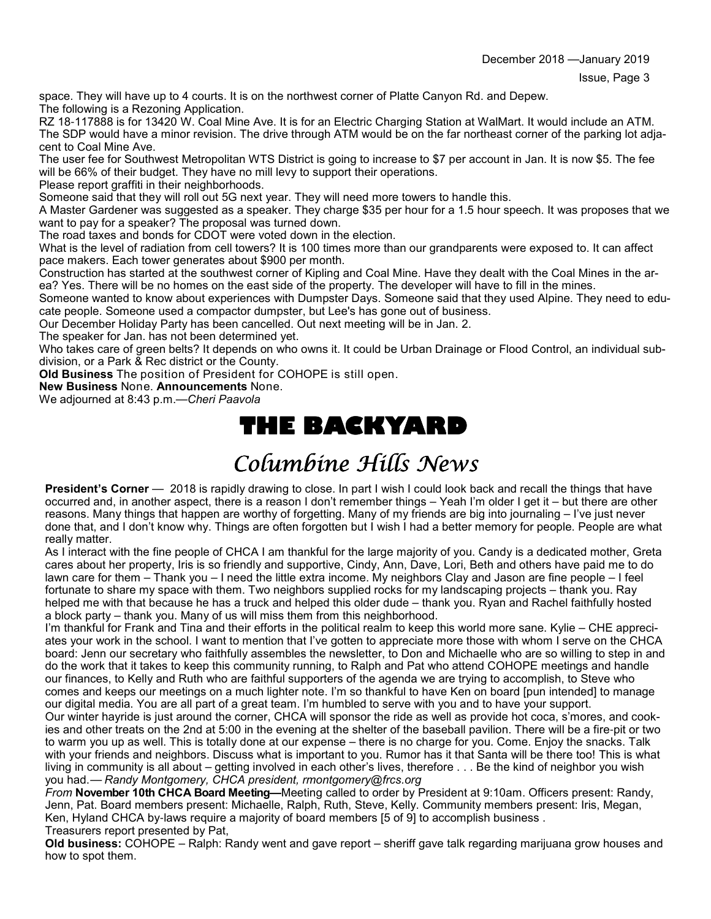space. They will have up to 4 courts. It is on the northwest corner of Platte Canyon Rd. and Depew. The following is a Rezoning Application.

RZ 18-117888 is for 13420 W. Coal Mine Ave. It is for an Electric Charging Station at WalMart. It would include an ATM. The SDP would have a minor revision. The drive through ATM would be on the far northeast corner of the parking lot adjacent to Coal Mine Ave.

The user fee for Southwest Metropolitan WTS District is going to increase to \$7 per account in Jan. It is now \$5. The fee will be 66% of their budget. They have no mill levy to support their operations.

Please report graffiti in their neighborhoods.

Someone said that they will roll out 5G next year. They will need more towers to handle this.

A Master Gardener was suggested as a speaker. They charge \$35 per hour for a 1.5 hour speech. It was proposes that we want to pay for a speaker? The proposal was turned down.

The road taxes and bonds for CDOT were voted down in the election.

What is the level of radiation from cell towers? It is 100 times more than our grandparents were exposed to. It can affect pace makers. Each tower generates about \$900 per month.

Construction has started at the southwest corner of Kipling and Coal Mine. Have they dealt with the Coal Mines in the area? Yes. There will be no homes on the east side of the property. The developer will have to fill in the mines.

Someone wanted to know about experiences with Dumpster Days. Someone said that they used Alpine. They need to educate people. Someone used a compactor dumpster, but Lee's has gone out of business.

Our December Holiday Party has been cancelled. Out next meeting will be in Jan. 2.

The speaker for Jan. has not been determined yet.

Who takes care of green belts? It depends on who owns it. It could be Urban Drainage or Flood Control, an individual subdivision, or a Park & Rec district or the County.

**Old Business** The position of President for COHOPE is still open.

**New Business** None. **Announcements** None.

We adjourned at 8:43 p.m.—*Cheri Paavola*

## **THE BACKYARD**

# Columbine Hills News

**President's Corner** — 2018 is rapidly drawing to close. In part I wish I could look back and recall the things that have occurred and, in another aspect, there is a reason I don't remember things – Yeah I'm older I get it – but there are other reasons. Many things that happen are worthy of forgetting. Many of my friends are big into journaling – I've just never done that, and I don't know why. Things are often forgotten but I wish I had a better memory for people. People are what really matter.

As I interact with the fine people of CHCA I am thankful for the large majority of you. Candy is a dedicated mother, Greta cares about her property, Iris is so friendly and supportive, Cindy, Ann, Dave, Lori, Beth and others have paid me to do lawn care for them – Thank you – I need the little extra income. My neighbors Clay and Jason are fine people – I feel fortunate to share my space with them. Two neighbors supplied rocks for my landscaping projects – thank you. Ray helped me with that because he has a truck and helped this older dude – thank you. Ryan and Rachel faithfully hosted a block party – thank you. Many of us will miss them from this neighborhood.

I'm thankful for Frank and Tina and their efforts in the political realm to keep this world more sane. Kylie – CHE appreciates your work in the school. I want to mention that I've gotten to appreciate more those with whom I serve on the CHCA board: Jenn our secretary who faithfully assembles the newsletter, to Don and Michaelle who are so willing to step in and do the work that it takes to keep this community running, to Ralph and Pat who attend COHOPE meetings and handle our finances, to Kelly and Ruth who are faithful supporters of the agenda we are trying to accomplish, to Steve who comes and keeps our meetings on a much lighter note. I'm so thankful to have Ken on board [pun intended] to manage our digital media. You are all part of a great team. I'm humbled to serve with you and to have your support.

Our winter hayride is just around the corner, CHCA will sponsor the ride as well as provide hot coca, s'mores, and cookies and other treats on the 2nd at 5:00 in the evening at the shelter of the baseball pavilion. There will be a fire-pit or two to warm you up as well. This is totally done at our expense – there is no charge for you. Come. Enjoy the snacks. Talk with your friends and neighbors. Discuss what is important to you. Rumor has it that Santa will be there too! This is what living in community is all about – getting involved in each other's lives, therefore . . . Be the kind of neighbor you wish you had.— *Randy Montgomery, CHCA president, rmontgomery@frcs.org*

*From* **November 10th CHCA Board Meeting—**Meeting called to order by President at 9:10am. Officers present: Randy, Jenn, Pat. Board members present: Michaelle, Ralph, Ruth, Steve, Kelly. Community members present: Iris, Megan, Ken, Hyland CHCA by-laws require a majority of board members [5 of 9] to accomplish business . Treasurers report presented by Pat,

**Old business:** COHOPE – Ralph: Randy went and gave report – sheriff gave talk regarding marijuana grow houses and how to spot them.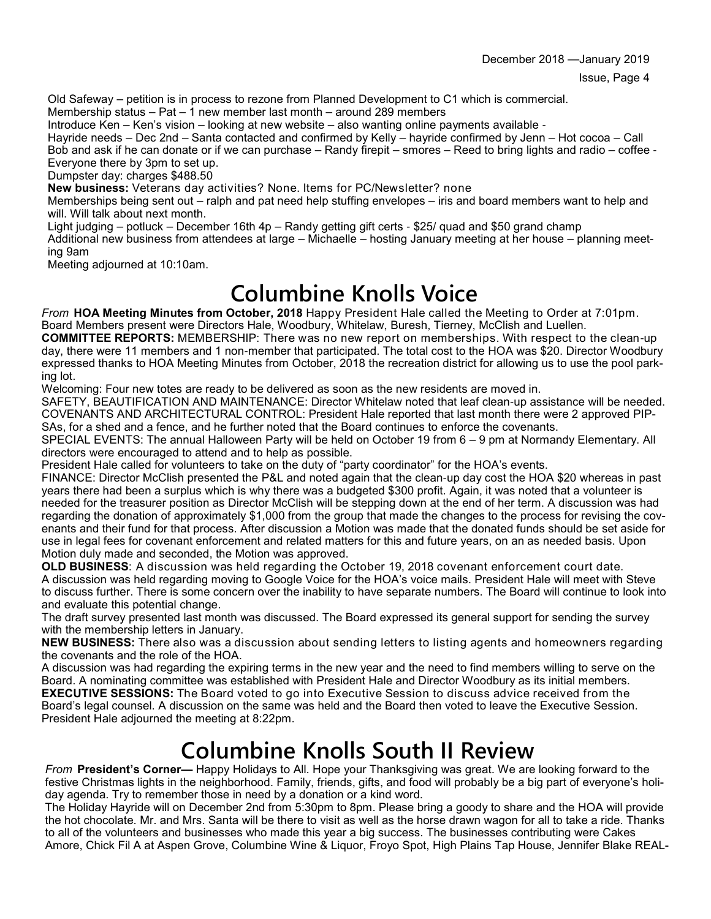Old Safeway – petition is in process to rezone from Planned Development to C1 which is commercial.

Membership status – Pat – 1 new member last month – around 289 members

Introduce Ken – Ken's vision – looking at new website – also wanting online payments available -

Hayride needs – Dec 2nd – Santa contacted and confirmed by Kelly – hayride confirmed by Jenn – Hot cocoa – Call Bob and ask if he can donate or if we can purchase – Randy firepit – smores – Reed to bring lights and radio – coffee - Everyone there by 3pm to set up.

Dumpster day: charges \$488.50

**New business:** Veterans day activities? None. Items for PC/Newsletter? none

Memberships being sent out – ralph and pat need help stuffing envelopes – iris and board members want to help and will. Will talk about next month.

Light judging – potluck – December 16th 4p – Randy getting gift certs - \$25/ quad and \$50 grand champ

Additional new business from attendees at large – Michaelle – hosting January meeting at her house – planning meeting 9am

Meeting adjourned at 10:10am.

## **Columbine Knolls Voice**

*From* **HOA Meeting Minutes from October, 2018** Happy President Hale called the Meeting to Order at 7:01pm. Board Members present were Directors Hale, Woodbury, Whitelaw, Buresh, Tierney, McClish and Luellen.

**COMMITTEE REPORTS:** MEMBERSHIP: There was no new report on memberships. With respect to the clean-up day, there were 11 members and 1 non-member that participated. The total cost to the HOA was \$20. Director Woodbury expressed thanks to HOA Meeting Minutes from October, 2018 the recreation district for allowing us to use the pool parking lot.

Welcoming: Four new totes are ready to be delivered as soon as the new residents are moved in.

SAFETY, BEAUTIFICATION AND MAINTENANCE: Director Whitelaw noted that leaf clean-up assistance will be needed. COVENANTS AND ARCHITECTURAL CONTROL: President Hale reported that last month there were 2 approved PIP-SAs, for a shed and a fence, and he further noted that the Board continues to enforce the covenants.

SPECIAL EVENTS: The annual Halloween Party will be held on October 19 from 6 – 9 pm at Normandy Elementary. All directors were encouraged to attend and to help as possible.

President Hale called for volunteers to take on the duty of "party coordinator" for the HOA's events.

FINANCE: Director McClish presented the P&L and noted again that the clean-up day cost the HOA \$20 whereas in past years there had been a surplus which is why there was a budgeted \$300 profit. Again, it was noted that a volunteer is needed for the treasurer position as Director McClish will be stepping down at the end of her term. A discussion was had regarding the donation of approximately \$1,000 from the group that made the changes to the process for revising the covenants and their fund for that process. After discussion a Motion was made that the donated funds should be set aside for use in legal fees for covenant enforcement and related matters for this and future years, on an as needed basis. Upon Motion duly made and seconded, the Motion was approved.

**OLD BUSINESS**: A discussion was held regarding the October 19, 2018 covenant enforcement court date. A discussion was held regarding moving to Google Voice for the HOA's voice mails. President Hale will meet with Steve to discuss further. There is some concern over the inability to have separate numbers. The Board will continue to look into and evaluate this potential change.

The draft survey presented last month was discussed. The Board expressed its general support for sending the survey with the membership letters in January.

**NEW BUSINESS:** There also was a discussion about sending letters to listing agents and homeowners regarding the covenants and the role of the HOA.

A discussion was had regarding the expiring terms in the new year and the need to find members willing to serve on the Board. A nominating committee was established with President Hale and Director Woodbury as its initial members. **EXECUTIVE SESSIONS:** The Board voted to go into Executive Session to discuss advice received from the Board's legal counsel. A discussion on the same was held and the Board then voted to leave the Executive Session. President Hale adjourned the meeting at 8:22pm.

### **Columbine Knolls South II Review**

*From* **President's Corner—** Happy Holidays to All. Hope your Thanksgiving was great. We are looking forward to the festive Christmas lights in the neighborhood. Family, friends, gifts, and food will probably be a big part of everyone's holiday agenda. Try to remember those in need by a donation or a kind word.

The Holiday Hayride will on December 2nd from 5:30pm to 8pm. Please bring a goody to share and the HOA will provide the hot chocolate. Mr. and Mrs. Santa will be there to visit as well as the horse drawn wagon for all to take a ride. Thanks to all of the volunteers and businesses who made this year a big success. The businesses contributing were Cakes Amore, Chick Fil A at Aspen Grove, Columbine Wine & Liquor, Froyo Spot, High Plains Tap House, Jennifer Blake REAL-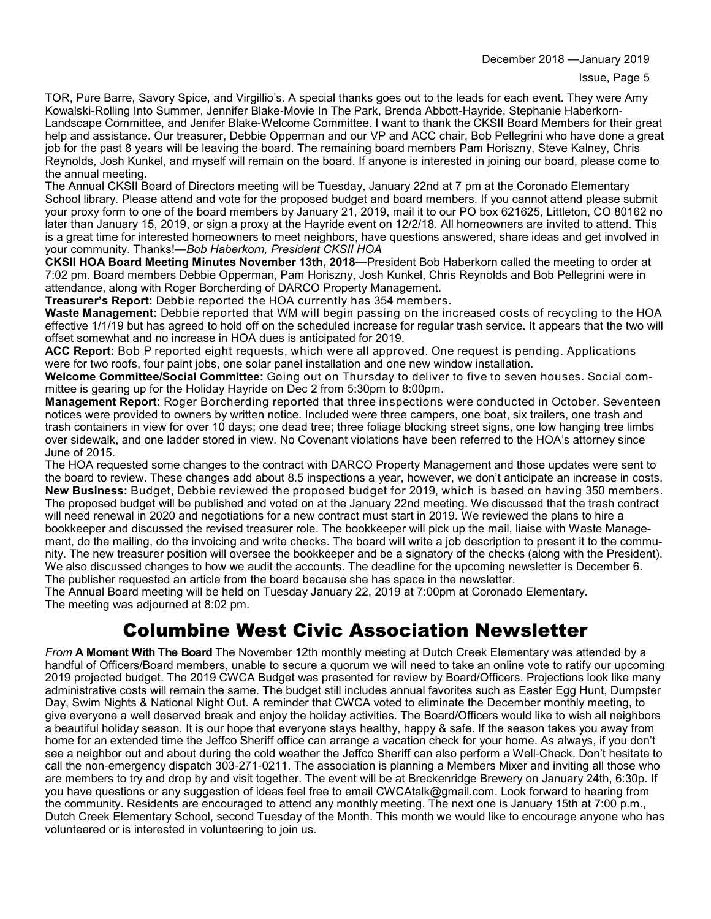TOR, Pure Barre, Savory Spice, and Virgillio's. A special thanks goes out to the leads for each event. They were Amy Kowalski-Rolling Into Summer, Jennifer Blake-Movie In The Park, Brenda Abbott-Hayride, Stephanie Haberkorn-Landscape Committee, and Jenifer Blake-Welcome Committee. I want to thank the CKSII Board Members for their great help and assistance. Our treasurer, Debbie Opperman and our VP and ACC chair, Bob Pellegrini who have done a great job for the past 8 years will be leaving the board. The remaining board members Pam Horiszny, Steve Kalney, Chris Reynolds, Josh Kunkel, and myself will remain on the board. If anyone is interested in joining our board, please come to the annual meeting.

The Annual CKSII Board of Directors meeting will be Tuesday, January 22nd at 7 pm at the Coronado Elementary School library. Please attend and vote for the proposed budget and board members. If you cannot attend please submit your proxy form to one of the board members by January 21, 2019, mail it to our PO box 621625, Littleton, CO 80162 no later than January 15, 2019, or sign a proxy at the Hayride event on 12/2/18. All homeowners are invited to attend. This is a great time for interested homeowners to meet neighbors, have questions answered, share ideas and get involved in your community. Thanks!—*Bob Haberkorn, President CKSII HOA*

**CKSII HOA Board Meeting Minutes November 13th, 2018**—President Bob Haberkorn called the meeting to order at 7:02 pm. Board members Debbie Opperman, Pam Horiszny, Josh Kunkel, Chris Reynolds and Bob Pellegrini were in attendance, along with Roger Borcherding of DARCO Property Management.

**Treasurer's Report:** Debbie reported the HOA currently has 354 members.

**Waste Management:** Debbie reported that WM will begin passing on the increased costs of recycling to the HOA effective 1/1/19 but has agreed to hold off on the scheduled increase for regular trash service. It appears that the two will offset somewhat and no increase in HOA dues is anticipated for 2019.

**ACC Report:** Bob P reported eight requests, which were all approved. One request is pending. Applications were for two roofs, four paint jobs, one solar panel installation and one new window installation.

**Welcome Committee/Social Committee:** Going out on Thursday to deliver to five to seven houses. Social committee is gearing up for the Holiday Hayride on Dec 2 from 5:30pm to 8:00pm.

**Management Report:** Roger Borcherding reported that three inspections were conducted in October. Seventeen notices were provided to owners by written notice. Included were three campers, one boat, six trailers, one trash and trash containers in view for over 10 days; one dead tree; three foliage blocking street signs, one low hanging tree limbs over sidewalk, and one ladder stored in view. No Covenant violations have been referred to the HOA's attorney since June of 2015.

The HOA requested some changes to the contract with DARCO Property Management and those updates were sent to the board to review. These changes add about 8.5 inspections a year, however, we don't anticipate an increase in costs. **New Business:** Budget, Debbie reviewed the proposed budget for 2019, which is based on having 350 members. The proposed budget will be published and voted on at the January 22nd meeting. We discussed that the trash contract will need renewal in 2020 and negotiations for a new contract must start in 2019. We reviewed the plans to hire a bookkeeper and discussed the revised treasurer role. The bookkeeper will pick up the mail, liaise with Waste Management, do the mailing, do the invoicing and write checks. The board will write a job description to present it to the community. The new treasurer position will oversee the bookkeeper and be a signatory of the checks (along with the President). We also discussed changes to how we audit the accounts. The deadline for the upcoming newsletter is December 6. The publisher requested an article from the board because she has space in the newsletter.

The Annual Board meeting will be held on Tuesday January 22, 2019 at 7:00pm at Coronado Elementary. The meeting was adjourned at 8:02 pm.

### Columbine West Civic Association Newsletter

*From* **A Moment With The Board** The November 12th monthly meeting at Dutch Creek Elementary was attended by a handful of Officers/Board members, unable to secure a quorum we will need to take an online vote to ratify our upcoming 2019 projected budget. The 2019 CWCA Budget was presented for review by Board/Officers. Projections look like many administrative costs will remain the same. The budget still includes annual favorites such as Easter Egg Hunt, Dumpster Day, Swim Nights & National Night Out. A reminder that CWCA voted to eliminate the December monthly meeting, to give everyone a well deserved break and enjoy the holiday activities. The Board/Officers would like to wish all neighbors a beautiful holiday season. It is our hope that everyone stays healthy, happy & safe. If the season takes you away from home for an extended time the Jeffco Sheriff office can arrange a vacation check for your home. As always, if you don't see a neighbor out and about during the cold weather the Jeffco Sheriff can also perform a Well-Check. Don't hesitate to call the non-emergency dispatch 303-271-0211. The association is planning a Members Mixer and inviting all those who are members to try and drop by and visit together. The event will be at Breckenridge Brewery on January 24th, 6:30p. If you have questions or any suggestion of ideas feel free to email CWCAtalk@gmail.com. Look forward to hearing from the community. Residents are encouraged to attend any monthly meeting. The next one is January 15th at 7:00 p.m., Dutch Creek Elementary School, second Tuesday of the Month. This month we would like to encourage anyone who has volunteered or is interested in volunteering to join us.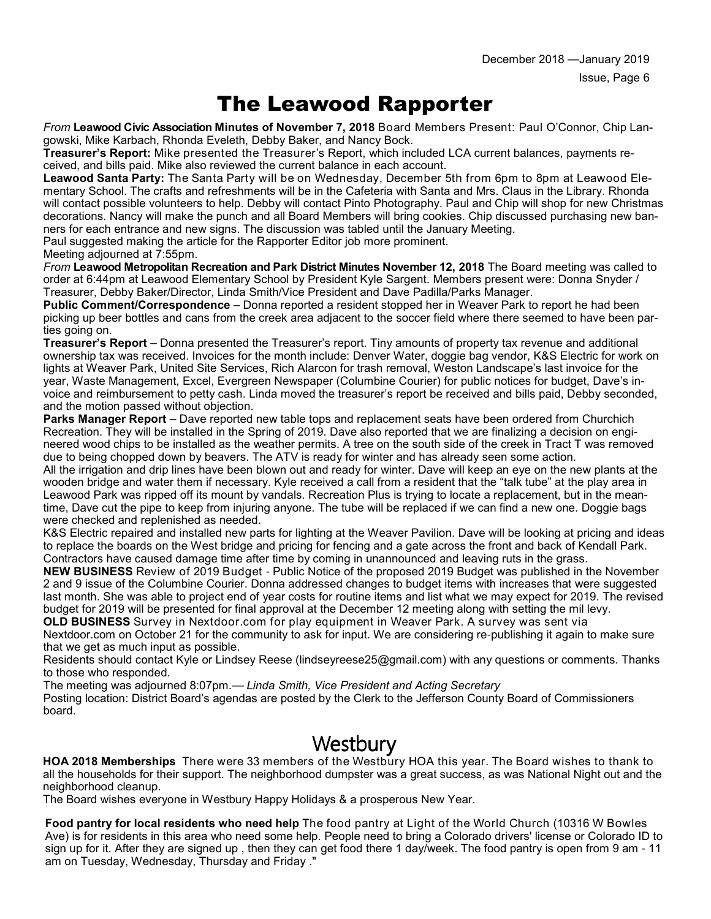### The Leawood Rapporter

*From* **Leawood Civic Association Minutes of November 7, 2018** Board Members Present: Paul O'Connor, Chip Langowski, Mike Karbach, Rhonda Eveleth, Debby Baker, and Nancy Bock.

**Treasurer's Report:** Mike presented the Treasurer's Report, which included LCA current balances, payments received, and bills paid. Mike also reviewed the current balance in each account.

**Leawood Santa Party:** The Santa Party will be on Wednesday, December 5th from 6pm to 8pm at Leawood Elementary School. The crafts and refreshments will be in the Cafeteria with Santa and Mrs. Claus in the Library. Rhonda will contact possible volunteers to help. Debby will contact Pinto Photography. Paul and Chip will shop for new Christmas decorations. Nancy will make the punch and all Board Members will bring cookies. Chip discussed purchasing new banners for each entrance and new signs. The discussion was tabled until the January Meeting.

Paul suggested making the article for the Rapporter Editor job more prominent.

Meeting adjourned at 7:55pm.

*From* **Leawood Metropolitan Recreation and Park District Minutes November 12, 2018** The Board meeting was called to order at 6:44pm at Leawood Elementary School by President Kyle Sargent. Members present were: Donna Snyder / Treasurer, Debby Baker/Director, Linda Smith/Vice President and Dave Padilla/Parks Manager.

**Public Comment/Correspondence** – Donna reported a resident stopped her in Weaver Park to report he had been picking up beer bottles and cans from the creek area adjacent to the soccer field where there seemed to have been parties going on.

**Treasurer's Report** – Donna presented the Treasurer's report. Tiny amounts of property tax revenue and additional ownership tax was received. Invoices for the month include: Denver Water, doggie bag vendor, K&S Electric for work on lights at Weaver Park, United Site Services, Rich Alarcon for trash removal, Weston Landscape's last invoice for the year, Waste Management, Excel, Evergreen Newspaper (Columbine Courier) for public notices for budget, Dave's invoice and reimbursement to petty cash. Linda moved the treasurer's report be received and bills paid, Debby seconded, and the motion passed without objection.

**Parks Manager Report** – Dave reported new table tops and replacement seats have been ordered from Churchich Recreation. They will be installed in the Spring of 2019. Dave also reported that we are finalizing a decision on engineered wood chips to be installed as the weather permits. A tree on the south side of the creek in Tract T was removed due to being chopped down by beavers. The ATV is ready for winter and has already seen some action.

All the irrigation and drip lines have been blown out and ready for winter. Dave will keep an eye on the new plants at the wooden bridge and water them if necessary. Kyle received a call from a resident that the "talk tube" at the play area in Leawood Park was ripped off its mount by vandals. Recreation Plus is trying to locate a replacement, but in the meantime, Dave cut the pipe to keep from injuring anyone. The tube will be replaced if we can find a new one. Doggie bags were checked and replenished as needed.

K&S Electric repaired and installed new parts for lighting at the Weaver Pavilion. Dave will be looking at pricing and ideas to replace the boards on the West bridge and pricing for fencing and a gate across the front and back of Kendall Park. Contractors have caused damage time after time by coming in unannounced and leaving ruts in the grass.

**NEW BUSINESS** Review of 2019 Budget - Public Notice of the proposed 2019 Budget was published in the November 2 and 9 issue of the Columbine Courier. Donna addressed changes to budget items with increases that were suggested last month. She was able to project end of year costs for routine items and list what we may expect for 2019. The revised budget for 2019 will be presented for final approval at the December 12 meeting along with setting the mil levy.

**OLD BUSINESS** Survey in Nextdoor.com for play equipment in Weaver Park. A survey was sent via Nextdoor.com on October 21 for the community to ask for input. We are considering re-publishing it again to make sure that we get as much input as possible.

Residents should contact Kyle or Lindsey Reese (lindseyreese25@gmail.com) with any questions or comments. Thanks to those who responded.

The meeting was adjourned 8:07pm.— *Linda Smith, Vice President and Acting Secretary*

Posting location: District Board's agendas are posted by the Clerk to the Jefferson County Board of Commissioners board.

### **Westbury**

**HOA 2018 Memberships** There were 33 members of the Westbury HOA this year. The Board wishes to thank to all the households for their support. The neighborhood dumpster was a great success, as was National Night out and the neighborhood cleanup.

The Board wishes everyone in Westbury Happy Holidays & a prosperous New Year.

**Food pantry for local residents who need help** The food pantry at Light of the World Church (10316 W Bowles Ave) is for residents in this area who need some help. People need to bring a Colorado drivers' license or Colorado ID to sign up for it. After they are signed up , then they can get food there 1 day/week. The food pantry is open from 9 am - 11 am on Tuesday, Wednesday, Thursday and Friday ."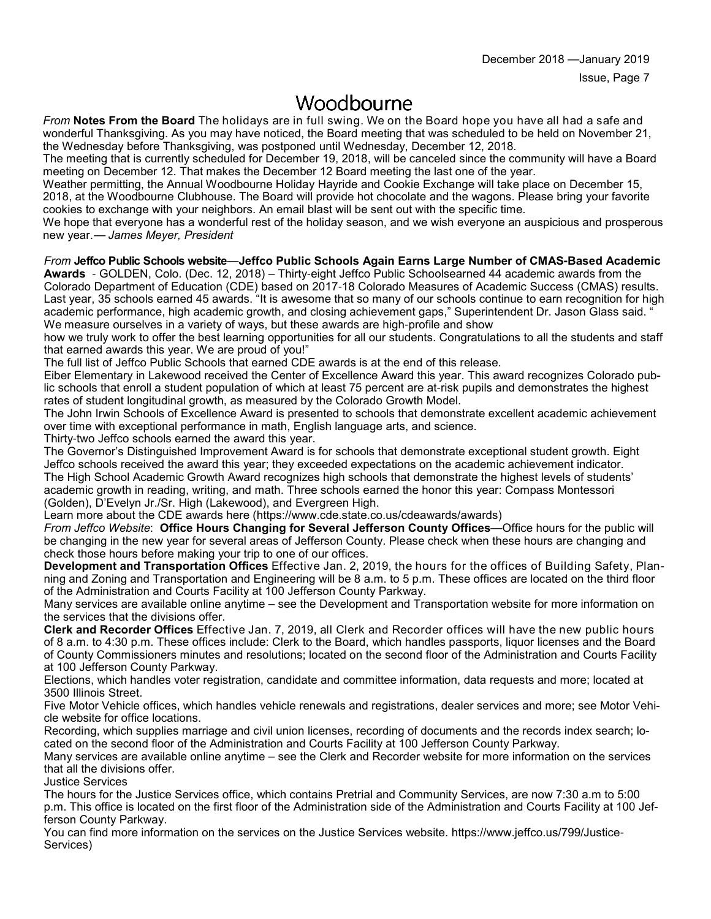### Woodbourne

*From* **Notes From the Board** The holidays are in full swing. We on the Board hope you have all had a safe and wonderful Thanksgiving. As you may have noticed, the Board meeting that was scheduled to be held on November 21, the Wednesday before Thanksgiving, was postponed until Wednesday, December 12, 2018.

The meeting that is currently scheduled for December 19, 2018, will be canceled since the community will have a Board meeting on December 12. That makes the December 12 Board meeting the last one of the year.

Weather permitting, the Annual Woodbourne Holiday Hayride and Cookie Exchange will take place on December 15, 2018, at the Woodbourne Clubhouse. The Board will provide hot chocolate and the wagons. Please bring your favorite cookies to exchange with your neighbors. An email blast will be sent out with the specific time.

We hope that everyone has a wonderful rest of the holiday season, and we wish everyone an auspicious and prosperous new year.— *James Meyer, President*

#### *From* **Jeffco Public Schools website**—**Jeffco Public Schools Again Earns Large Number of CMAS-Based Academic**

**Awards** - GOLDEN, Colo. (Dec. 12, 2018) – Thirty-eight Jeffco Public Schoolsearned 44 academic awards from the Colorado Department of Education (CDE) based on 2017-18 Colorado Measures of Academic Success (CMAS) results. Last year, 35 schools earned 45 awards. "It is awesome that so many of our schools continue to earn recognition for high academic performance, high academic growth, and closing achievement gaps," Superintendent Dr. Jason Glass said. " We measure ourselves in a variety of ways, but these awards are high-profile and show

how we truly work to offer the best learning opportunities for all our students. Congratulations to all the students and staff that earned awards this year. We are proud of you!"

The full list of Jeffco Public Schools that earned CDE awards is at the end of this release.

Eiber Elementary in Lakewood received the Center of Excellence Award this year. This award recognizes Colorado public schools that enroll a student population of which at least 75 percent are at-risk pupils and demonstrates the highest rates of student longitudinal growth, as measured by the Colorado Growth Model.

The John Irwin Schools of Excellence Award is presented to schools that demonstrate excellent academic achievement over time with exceptional performance in math, English language arts, and science.

Thirty-two Jeffco schools earned the award this year.

The Governor's Distinguished Improvement Award is for schools that demonstrate exceptional student growth. Eight Jeffco schools received the award this year; they exceeded expectations on the academic achievement indicator. The High School Academic Growth Award recognizes high schools that demonstrate the highest levels of students' academic growth in reading, writing, and math. Three schools earned the honor this year: Compass Montessori (Golden), D'Evelyn Jr./Sr. High (Lakewood), and Evergreen High.

Learn more about the CDE awards here (https://www.cde.state.co.us/cdeawards/awards)

*From Jeffco Website*: **Office Hours Changing for Several Jefferson County Offices**—Office hours for the public will be changing in the new year for several areas of Jefferson County. Please check when these hours are changing and check those hours before making your trip to one of our offices.

**Development and Transportation Offices** Effective Jan. 2, 2019, the hours for the offices of Building Safety, Planning and Zoning and Transportation and Engineering will be 8 a.m. to 5 p.m. These offices are located on the third floor of the Administration and Courts Facility at 100 Jefferson County Parkway.

Many services are available online anytime – see the Development and Transportation website for more information on the services that the divisions offer.

**Clerk and Recorder Offices** Effective Jan. 7, 2019, all Clerk and Recorder offices will have the new public hours of 8 a.m. to 4:30 p.m. These offices include: Clerk to the Board, which handles passports, liquor licenses and the Board of County Commissioners minutes and resolutions; located on the second floor of the Administration and Courts Facility at 100 Jefferson County Parkway.

Elections, which handles voter registration, candidate and committee information, data requests and more; located at 3500 Illinois Street.

Five Motor Vehicle offices, which handles vehicle renewals and registrations, dealer services and more; see Motor Vehicle website for office locations.

Recording, which supplies marriage and civil union licenses, recording of documents and the records index search; located on the second floor of the Administration and Courts Facility at 100 Jefferson County Parkway.

Many services are available online anytime – see the Clerk and Recorder website for more information on the services that all the divisions offer.

Justice Services

The hours for the Justice Services office, which contains Pretrial and Community Services, are now 7:30 a.m to 5:00 p.m. This office is located on the first floor of the Administration side of the Administration and Courts Facility at 100 Jefferson County Parkway.

You can find more information on the services on the Justice Services website. https://www.jeffco.us/799/Justice-Services)